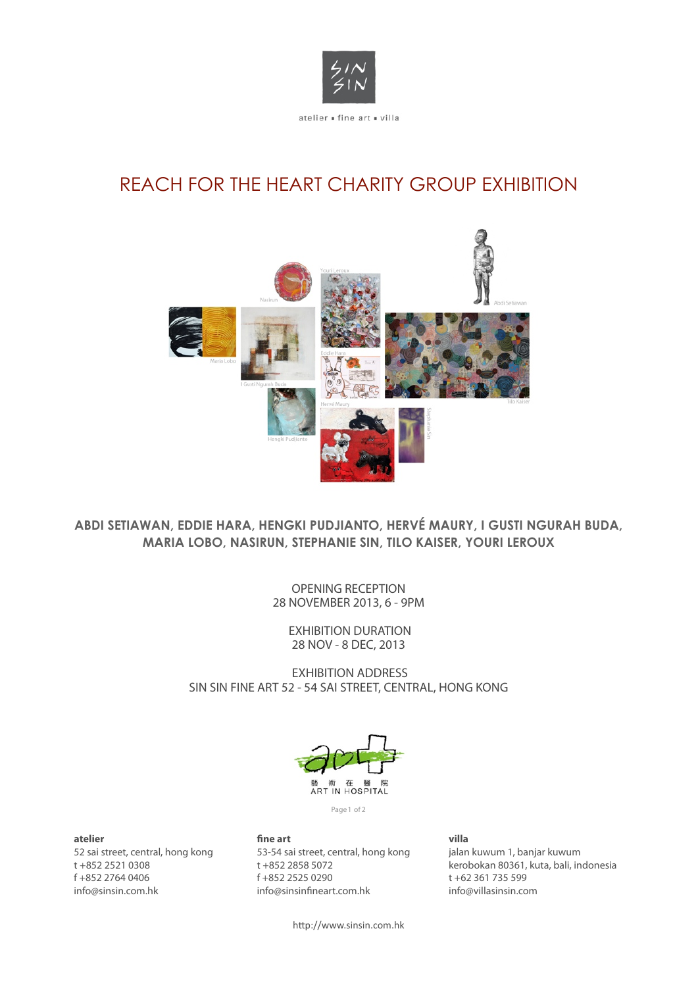

# REACH FOR THE HEART CHARITY GROUP EXHIBITION



# **ABDI SETIAWAN, EDDIE HARA, HENGKI PUDJIANTO, HERVÉ MAURY, I GUSTI NGURAH BUDA, MARIA LOBO, NASIRUN, STEPHANIE SIN, TILO KAISER, YOURI LEROUX**

OPENING RECEPTION 28 NOVEMBER 2013, 6 - 9PM

> EXHIBITION DURATION 28 NOV - 8 DEC, 2013

EXHIBITION ADDRESS SIN SIN FINE ART 52 - 54 SAI STREET, CENTRAL, HONG KONG



Page 1 of 2

## **atelier**

52 sai street, central, hong kong t +852 2521 0308 f +852 2764 0406 info@sinsin.com.hk

# **!ne art**

53-54 sai street, central, hong kong t +852 2858 5072 f +852 2525 0290 info@sinsinfineart.com.hk

### **villa** jalan kuwum 1, banjar kuwum kerobokan 80361, kuta, bali, indonesia t +62 361 735 599 info@villasinsin.com

http://www.sinsin.com.hk